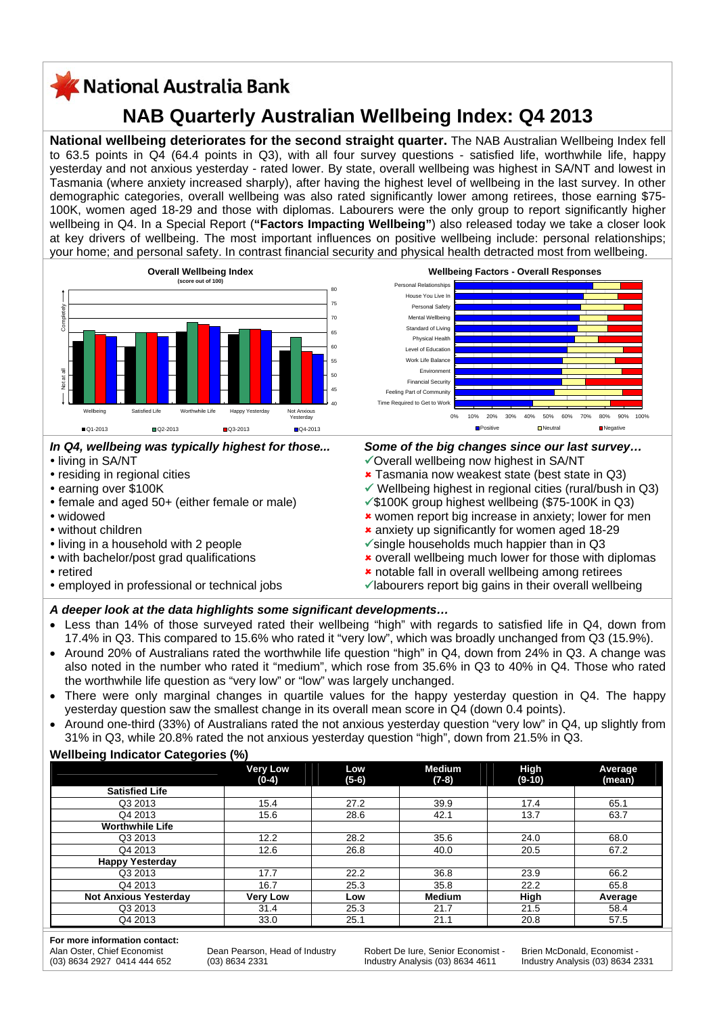# KNational Australia Bank

# **NAB Quarterly Australian Wellbeing Index: Q4 2013**

**National wellbeing deteriorates for the second straight quarter.** The NAB Australian Wellbeing Index fell to 63.5 points in Q4 (64.4 points in Q3), with all four survey questions - satisfied life, worthwhile life, happy yesterday and not anxious yesterday - rated lower. By state, overall wellbeing was highest in SA/NT and lowest in Tasmania (where anxiety increased sharply), after having the highest level of wellbeing in the last survey. In other demographic categories, overall wellbeing was also rated significantly lower among retirees, those earning \$75- 100K, women aged 18-29 and those with diplomas. Labourers were the only group to report significantly higher wellbeing in Q4. In a Special Report (**"Factors Impacting Wellbeing"**) also released today we take a closer look at key drivers of wellbeing. The most important influences on positive wellbeing include: personal relationships; your home; and personal safety. In contrast financial security and physical health detracted most from wellbeing.



## *In Q4, wellbeing was typically highest for those...*

- living in SA/NT
- residing in regional cities
- earning over \$100K
- female and aged 50+ (either female or male)
- y widowed
- without children
- living in a household with 2 people
- with bachelor/post grad qualifications
- retired
- employed in professional or technical jobs



## *Some of the big changes since our last survey…*

- $\checkmark$  Overall wellbeing now highest in SA/NT
- **\*** Tasmania now weakest state (best state in Q3)
- $\checkmark$  Wellbeing highest in regional cities (rural/bush in Q3)
- $\sqrt{\$100K}$  group highest wellbeing (\$75-100K in Q3) **\*** women report big increase in anxiety; lower for men
- 8 anxiety up significantly for women aged 18-29
- $\checkmark$  single households much happier than in Q3
- **\*** overall wellbeing much lower for those with diplomas
- **\*** notable fall in overall wellbeing among retirees
- $\checkmark$  labourers report big gains in their overall wellbeing

## *A deeper look at the data highlights some significant developments…*

- Less than 14% of those surveyed rated their wellbeing "high" with regards to satisfied life in Q4, down from 17.4% in Q3. This compared to 15.6% who rated it "very low", which was broadly unchanged from Q3 (15.9%).
- Around 20% of Australians rated the worthwhile life question "high" in Q4, down from 24% in Q3. A change was also noted in the number who rated it "medium", which rose from 35.6% in Q3 to 40% in Q4. Those who rated the worthwhile life question as "very low" or "low" was largely unchanged.
- There were only marginal changes in quartile values for the happy yesterday question in Q4. The happy yesterday question saw the smallest change in its overall mean score in Q4 (down 0.4 points).
- Around one-third (33%) of Australians rated the not anxious yesterday question "very low" in Q4, up slightly from 31% in Q3, while 20.8% rated the not anxious yesterday question "high", down from 21.5% in Q3.

## **Wellbeing Indicator Categories (%)**

|                              | <b>Very Low</b><br>$(0-4)$ | Low<br>$(5-6)$ | <b>Medium</b><br>$(7-8)$ | <b>High</b><br>$(9-10)$ | Average<br>(mean) |
|------------------------------|----------------------------|----------------|--------------------------|-------------------------|-------------------|
| <b>Satisfied Life</b>        |                            |                |                          |                         |                   |
| Q3 2013                      | 15.4                       | 27.2           | 39.9                     | 17.4                    | 65.1              |
| Q4 2013                      | 15.6                       | 28.6           | 42.1                     | 13.7                    | 63.7              |
| <b>Worthwhile Life</b>       |                            |                |                          |                         |                   |
| Q3 2013                      | 12.2                       | 28.2           | 35.6                     | 24.0                    | 68.0              |
| Q4 2013                      | 12.6                       | 26.8           | 40.0                     | 20.5                    | 67.2              |
| <b>Happy Yesterday</b>       |                            |                |                          |                         |                   |
| Q3 2013                      | 17.7                       | 22.2           | 36.8                     | 23.9                    | 66.2              |
| Q4 2013                      | 16.7                       | 25.3           | 35.8                     | 22.2                    | 65.8              |
| <b>Not Anxious Yesterday</b> | <b>Verv Low</b>            | Low            | <b>Medium</b>            | High                    | Average           |
| Q3 2013                      | 31.4                       | 25.3           | 21.7                     | 21.5                    | 58.4              |
| Q4 2013                      | 33.0                       | 25.1           | 21.1                     | 20.8                    | 57.5              |

**For more information contact:** Alan Oster, Chief Economist (03) 8634 2927 0414 444 652

Dean Pearson, Head of Industry (03) 8634 2331

Robert De Iure, Senior Economist Industry Analysis (03) 8634 4611

Brien McDonald, Economist - Industry Analysis (03) 8634 2331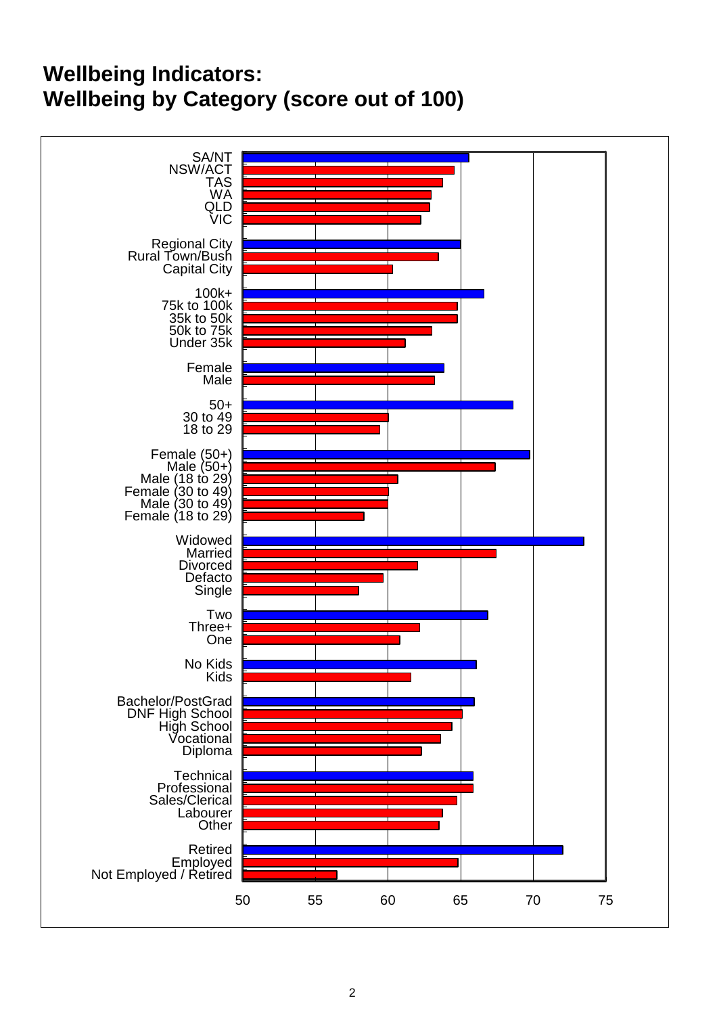# **Wellbeing Indicators: Wellbeing by Category (score out of 100)**

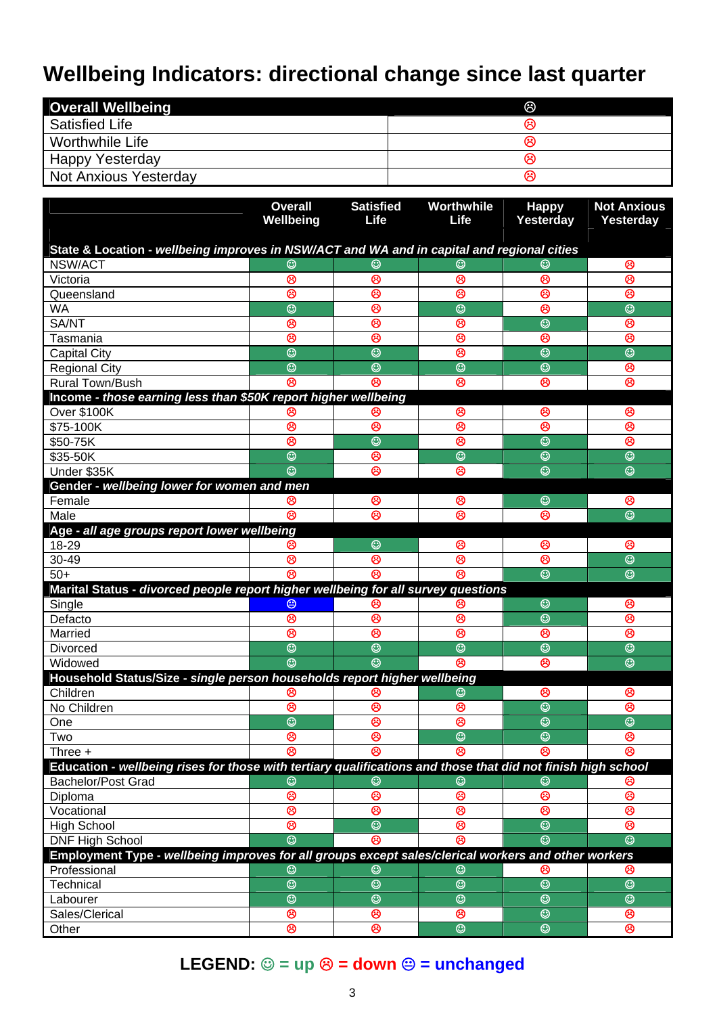# **Wellbeing Indicators: directional change since last quarter**

| <b>Overall Wellbeing</b>     | ගි |
|------------------------------|----|
| <b>Satisfied Life</b>        | ශ  |
| Worthwhile Life              | ణ  |
| <b>Happy Yesterday</b>       | ဗ  |
| <b>Not Anxious Yesterday</b> | ဗ  |

|                                                                                                              | <b>Overall</b><br>Wellbeing | <b>Satisfied</b><br><b>Life</b> | Worthwhile<br>Life      | <b>Happy</b><br>Yesterday | <b>Not Anxious</b><br>Yesterday |  |  |  |  |
|--------------------------------------------------------------------------------------------------------------|-----------------------------|---------------------------------|-------------------------|---------------------------|---------------------------------|--|--|--|--|
| State & Location - wellbeing improves in NSW/ACT and WA and in capital and regional cities                   |                             |                                 |                         |                           |                                 |  |  |  |  |
| NSW/ACT                                                                                                      | ☺                           | ☺                               | ☺                       |                           | ම                               |  |  |  |  |
| Victoria                                                                                                     | ම                           | ම                               | ම                       | ම                         | ම                               |  |  |  |  |
| Queensland                                                                                                   | ම                           | ම                               | ම                       | ම                         | ම                               |  |  |  |  |
| <b>WA</b>                                                                                                    | $\odot$                     | $\circledcirc$                  | $\odot$                 | ම                         | $\odot$                         |  |  |  |  |
| SA/NT                                                                                                        | ම                           | ම                               | ම                       | $\overline{\circ}$        | ම                               |  |  |  |  |
| Tasmania                                                                                                     | ඔ                           | ම                               | ම                       | ම                         | ම                               |  |  |  |  |
| <b>Capital City</b>                                                                                          | $\overline{\circ}$          | $\overline{\circ}$              | ම                       | $\overline{\odot}$        | $\overline{\circ}$              |  |  |  |  |
| <b>Regional City</b>                                                                                         | $\overline{\odot}$          | $\overline{\odot}$              | $\overline{\mathbb{O}}$ | $\overline{\odot}$        | ම                               |  |  |  |  |
| <b>Rural Town/Bush</b>                                                                                       | ෂ                           | ෂ                               | ම                       | ම                         | ම                               |  |  |  |  |
| Income - those earning less than \$50K report higher wellbeing                                               |                             |                                 |                         |                           |                                 |  |  |  |  |
| Over \$100K                                                                                                  | ဗ                           | ඏ                               | ම                       | ම                         | ම                               |  |  |  |  |
| \$75-100K                                                                                                    | ම                           | ම                               | ම                       | ම                         | ම                               |  |  |  |  |
| \$50-75K                                                                                                     | ම                           | $\circledcirc$                  | ම                       | $\odot$                   | ම                               |  |  |  |  |
| \$35-50K                                                                                                     | $\odot$                     | ම                               | $\odot$                 | $\odot$                   | $\odot$                         |  |  |  |  |
| Under \$35K                                                                                                  | $\odot$                     | ම                               | ම                       | $\odot$                   | $\odot$                         |  |  |  |  |
| Gender - wellbeing lower for women and men                                                                   |                             |                                 |                         |                           |                                 |  |  |  |  |
| Female                                                                                                       | ම                           | ම                               | ම                       | $\odot$                   | ම                               |  |  |  |  |
| Male                                                                                                         | ම                           | ම                               | ම                       | ම                         | $\odot$                         |  |  |  |  |
| Age - all age groups report lower wellbeing                                                                  |                             |                                 |                         |                           |                                 |  |  |  |  |
| 18-29                                                                                                        | ම                           | $\odot$                         | ම                       | ම                         | ම                               |  |  |  |  |
| 30-49                                                                                                        | ම                           | ම                               | ම                       | ම                         | $\odot$                         |  |  |  |  |
| $50+$                                                                                                        | ම                           | ම                               | ම                       | $\odot$                   | $\odot$                         |  |  |  |  |
| Marital Status - divorced people report higher wellbeing for all survey questions                            |                             |                                 |                         |                           |                                 |  |  |  |  |
| Single                                                                                                       | $\circledcirc$              | ඏ                               | ဗ                       | ☺                         | ම                               |  |  |  |  |
| Defacto                                                                                                      | ම                           | ම                               | ම                       | $\odot$                   | ම                               |  |  |  |  |
| Married                                                                                                      | ම                           | ම                               | ම                       | ම                         | ම                               |  |  |  |  |
| <b>Divorced</b>                                                                                              | $\odot$                     | $\circledcirc$                  | $\odot$                 | $\odot$                   | $\odot$                         |  |  |  |  |
| Widowed                                                                                                      | $\overline{\odot}$          | O                               | ම                       | ම                         | $\odot$                         |  |  |  |  |
| Household Status/Size - single person households report higher wellbeing                                     |                             |                                 |                         |                           |                                 |  |  |  |  |
| Children                                                                                                     | ම                           | ဗ                               | ☺                       | ම                         | ම                               |  |  |  |  |
| No Children                                                                                                  | ම                           | ම                               | ම                       | $\odot$                   | ම                               |  |  |  |  |
| One                                                                                                          | $\overline{\odot}$          | ම                               | ම                       | $\overline{\odot}$        | $\overline{\odot}$              |  |  |  |  |
| Two                                                                                                          | ణ                           | ణ                               | $\overline{\odot}$      | $\overline{\circ}$        | ణ                               |  |  |  |  |
| Three +                                                                                                      | ම                           | ම                               | ම                       | ම                         | ම                               |  |  |  |  |
| Education - wellbeing rises for those with tertiary qualifications and those that did not finish high school |                             |                                 |                         |                           |                                 |  |  |  |  |
| <b>Bachelor/Post Grad</b>                                                                                    | ☺                           | ☺                               | ☺                       | ☺                         | ඏ                               |  |  |  |  |
| Diploma                                                                                                      | ම                           | $\circledcirc$                  | ම                       | ම                         | ම                               |  |  |  |  |
| Vocational                                                                                                   | ම                           | ම                               | ම                       | ම                         | ම                               |  |  |  |  |
| <b>High School</b>                                                                                           | ම                           | $\odot$                         | ම                       | $\odot$                   | ම                               |  |  |  |  |
| <b>DNF High School</b>                                                                                       | $\odot$                     | ම                               | ම                       | $\odot$                   | $\odot$                         |  |  |  |  |
| Employment Type - wellbeing improves for all groups except sales/clerical workers and other workers          |                             |                                 |                         |                           |                                 |  |  |  |  |
| Professional                                                                                                 | ☺                           | ☺                               | ☺                       | ⊗                         | ⊛                               |  |  |  |  |
| Technical                                                                                                    | $\overline{\circ}$          | $\circledcirc$                  | $\odot$                 | $\odot$                   | $\odot$                         |  |  |  |  |
| Labourer                                                                                                     | $\overline{\circ}$          | $\overline{\odot}$              | $\overline{\odot}$      | $\overline{\odot}$        | $\overline{\circ}$              |  |  |  |  |
| Sales/Clerical                                                                                               | ම                           | ම                               | ම                       | $\odot$                   | ම                               |  |  |  |  |
| Other                                                                                                        | ම                           | ම                               | $\odot$                 | $\odot$                   | ම                               |  |  |  |  |

# **LEGEND:** ☺ = up <mark>☺ = down ☺ = unchanged</mark>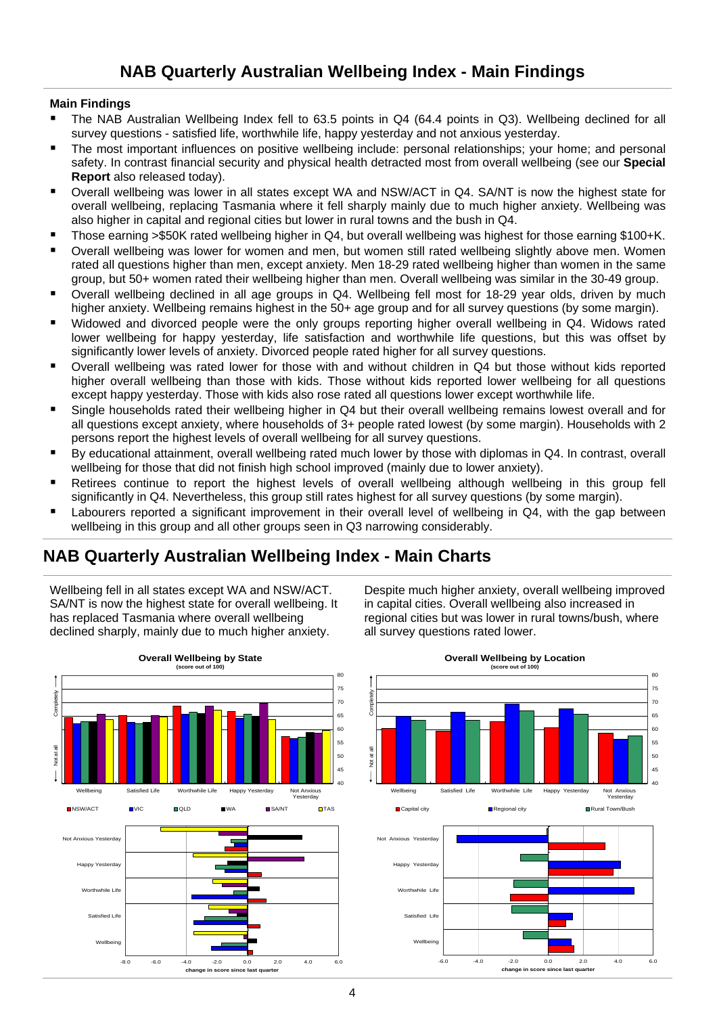## **Main Findings**

- The NAB Australian Wellbeing Index fell to 63.5 points in Q4 (64.4 points in Q3). Wellbeing declined for all survey questions - satisfied life, worthwhile life, happy yesterday and not anxious yesterday.
- The most important influences on positive wellbeing include: personal relationships; your home; and personal safety. In contrast financial security and physical health detracted most from overall wellbeing (see our **Special Report** also released today).
- Overall wellbeing was lower in all states except WA and NSW/ACT in Q4. SA/NT is now the highest state for overall wellbeing, replacing Tasmania where it fell sharply mainly due to much higher anxiety. Wellbeing was also higher in capital and regional cities but lower in rural towns and the bush in Q4.
- Those earning >\$50K rated wellbeing higher in Q4, but overall wellbeing was highest for those earning \$100+K.
- Overall wellbeing was lower for women and men, but women still rated wellbeing slightly above men. Women rated all questions higher than men, except anxiety. Men 18-29 rated wellbeing higher than women in the same group, but 50+ women rated their wellbeing higher than men. Overall wellbeing was similar in the 30-49 group.
- Overall wellbeing declined in all age groups in Q4. Wellbeing fell most for 18-29 year olds, driven by much higher anxiety. Wellbeing remains highest in the 50+ age group and for all survey questions (by some margin).
- Widowed and divorced people were the only groups reporting higher overall wellbeing in Q4. Widows rated lower wellbeing for happy yesterday, life satisfaction and worthwhile life questions, but this was offset by significantly lower levels of anxiety. Divorced people rated higher for all survey questions.
- Overall wellbeing was rated lower for those with and without children in Q4 but those without kids reported higher overall wellbeing than those with kids. Those without kids reported lower wellbeing for all questions except happy yesterday. Those with kids also rose rated all questions lower except worthwhile life.
- Single households rated their wellbeing higher in Q4 but their overall wellbeing remains lowest overall and for all questions except anxiety, where households of 3+ people rated lowest (by some margin). Households with 2 persons report the highest levels of overall wellbeing for all survey questions.
- By educational attainment, overall wellbeing rated much lower by those with diplomas in Q4. In contrast, overall wellbeing for those that did not finish high school improved (mainly due to lower anxiety).
- Retirees continue to report the highest levels of overall wellbeing although wellbeing in this group fell significantly in Q4. Nevertheless, this group still rates highest for all survey questions (by some margin).
- Labourers reported a significant improvement in their overall level of wellbeing in Q4, with the gap between wellbeing in this group and all other groups seen in Q3 narrowing considerably.

## **NAB Quarterly Australian Wellbeing Index - Main Charts**

Wellbeing fell in all states except WA and NSW/ACT. SA/NT is now the highest state for overall wellbeing. It has replaced Tasmania where overall wellbeing declined sharply, mainly due to much higher anxiety.



Despite much higher anxiety, overall wellbeing improved in capital cities. Overall wellbeing also increased in regional cities but was lower in rural towns/bush, where all survey questions rated lower.



#### **Overall Wellbeing by Location**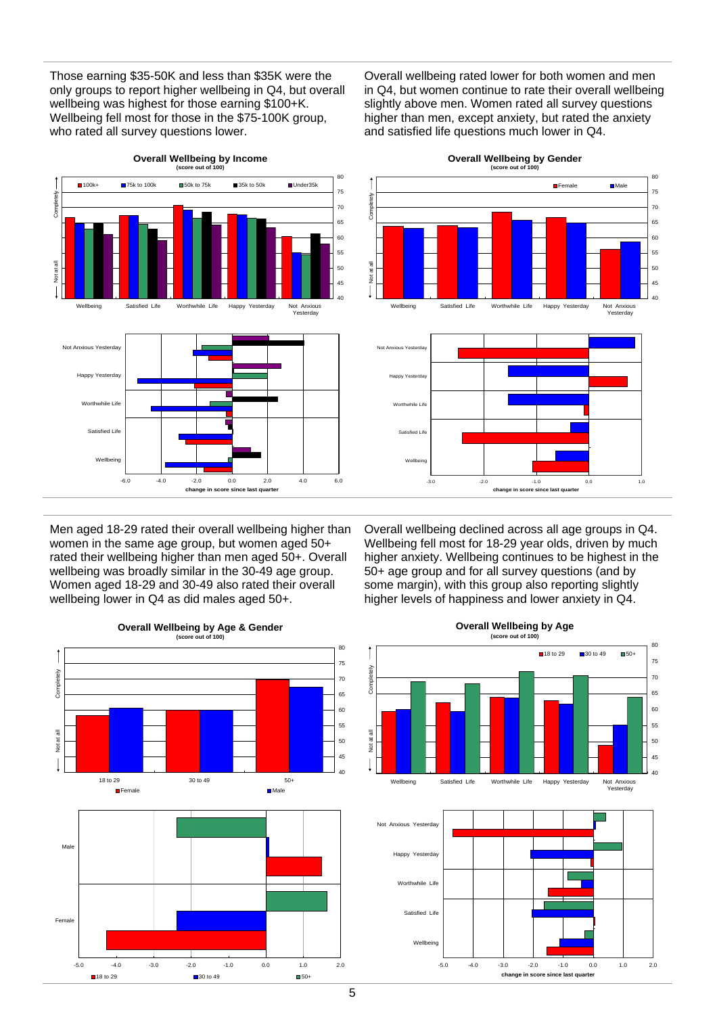Those earning \$35-50K and less than \$35K were the only groups to report higher wellbeing in Q4, but overall wellbeing was highest for those earning \$100+K. Wellbeing fell most for those in the \$75-100K group, who rated all survey questions lower.

**Overall Wellbeing by Income**

Overall wellbeing rated lower for both women and men in Q4, but women continue to rate their overall wellbeing slightly above men. Women rated all survey questions higher than men, except anxiety, but rated the anxiety and satisfied life questions much lower in Q4.



Men aged 18-29 rated their overall wellbeing higher than women in the same age group, but women aged 50+ rated their wellbeing higher than men aged 50+. Overall wellbeing was broadly similar in the 30-49 age group. Women aged 18-29 and 30-49 also rated their overall wellbeing lower in Q4 as did males aged 50+.



**Overall Wellbeing by Age & Gender (score out of 100)**

**Overall Wellbeing by Gender (score out of 100)**

80



Overall wellbeing declined across all age groups in Q4. Wellbeing fell most for 18-29 year olds, driven by much higher anxiety. Wellbeing continues to be highest in the 50+ age group and for all survey questions (and by some margin), with this group also reporting slightly higher levels of happiness and lower anxiety in Q4.





**Overall Wellbeing by Age (score out of 100)**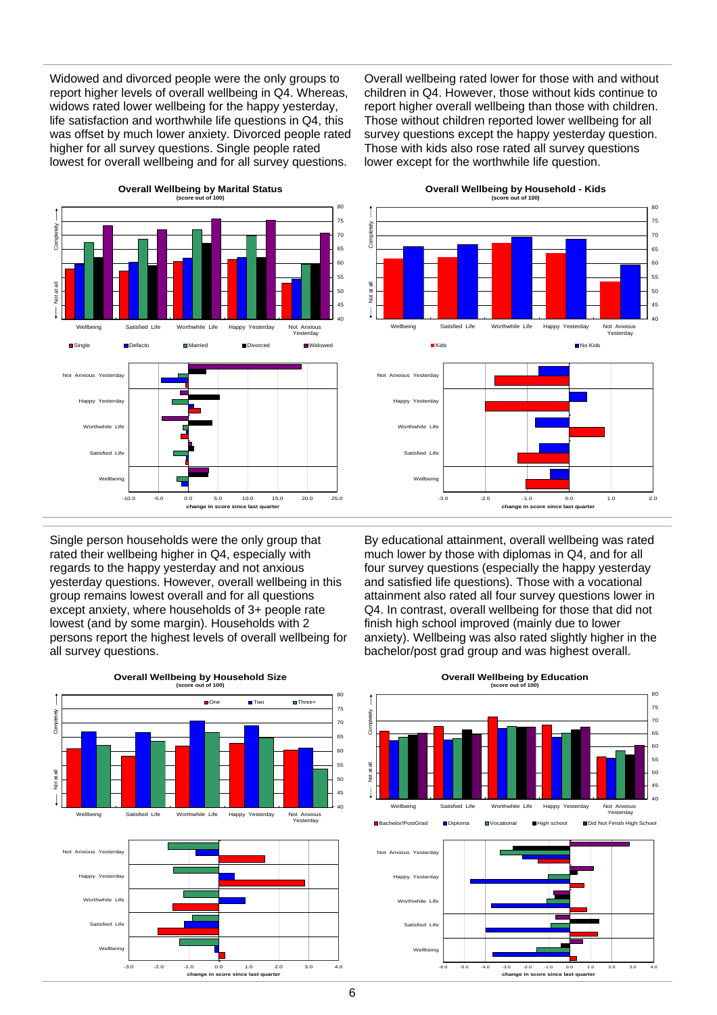Widowed and divorced people were the only groups to report higher levels of overall wellbeing in Q4. Whereas, widows rated lower wellbeing for the happy yesterday, life satisfaction and worthwhile life questions in Q4, this was offset by much lower anxiety. Divorced people rated higher for all survey questions. Single people rated lowest for overall wellbeing and for all survey questions.

Overall wellbeing rated lower for those with and without children in Q4. However, those without kids continue to report higher overall wellbeing than those with children. Those without children reported lower wellbeing for all survey questions except the happy yesterday question. Those with kids also rose rated all survey questions lower except for the worthwhile life question.



**Overall Wellbeing by Marital Status**

Single person households were the only group that rated their wellbeing higher in Q4, especially with regards to the happy yesterday and not anxious yesterday questions. However, overall wellbeing in this group remains lowest overall and for all questions except anxiety, where households of 3+ people rate lowest (and by some margin). Households with 2 persons report the highest levels of overall wellbeing for all survey questions.



#### **Overall Wellbeing by Household - Kids**



By educational attainment, overall wellbeing was rated much lower by those with diplomas in Q4, and for all four survey questions (especially the happy yesterday and satisfied life questions). Those with a vocational attainment also rated all four survey questions lower in Q4. In contrast, overall wellbeing for those that did not finish high school improved (mainly due to lower anxiety). Wellbeing was also rated slightly higher in the bachelor/post grad group and was highest overall.

#### **(score out of 100)** 80 75 Completely Not at all Completely 70 65 60 55 kot at all 50 45 40 Not Anxious eing Satisfied Life Worthwhile Life Happy Yesterday Bachelor/PostGrad Diploma Vocational High school Did Not Finish High School Not Anxious Yesterday Happy Worthwhile Life Satisfied Life Wellbeing

-6.0 -5.0 -4.0 -3.0 -2.0 -1.0 0.0 1.0 2.0 3.0 4.0

**change in score since last quarter**

#### **Overall Wellbeing by Education**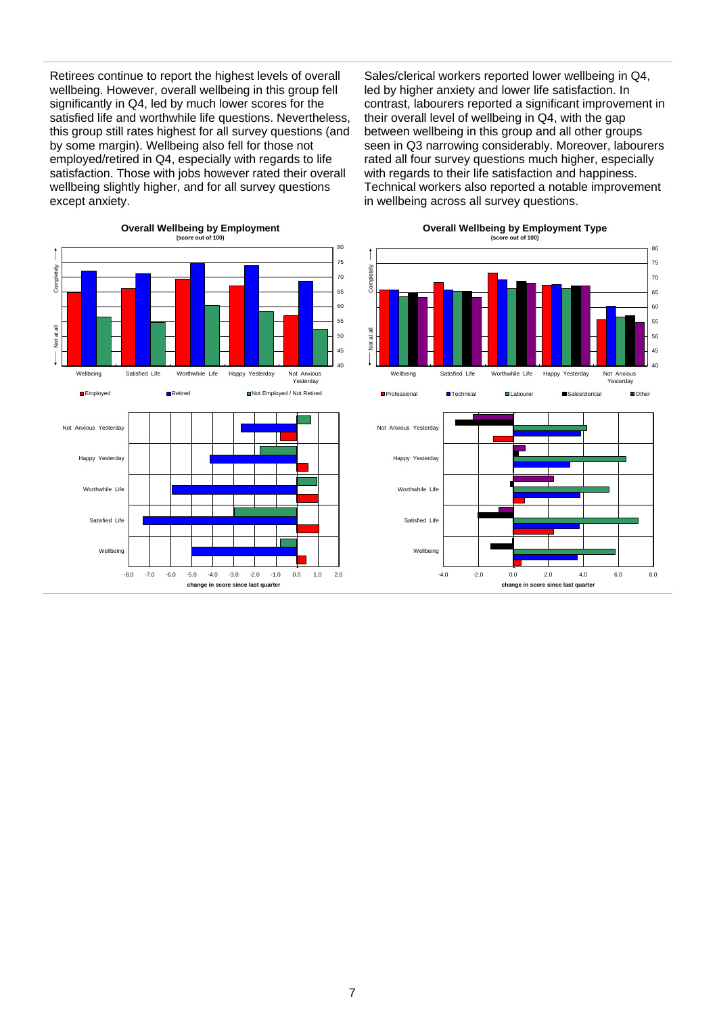Retirees continue to report the highest levels of overall wellbeing. However, overall wellbeing in this group fell significantly in Q4, led by much lower scores for the satisfied life and worthwhile life questions. Nevertheless, this group still rates highest for all survey questions (and by some margin). Wellbeing also fell for those not employed/retired in Q4, especially with regards to life satisfaction. Those with jobs however rated their overall wellbeing slightly higher, and for all survey questions except anxiety.

Sales/clerical workers reported lower wellbeing in Q4, led by higher anxiety and lower life satisfaction. In contrast, labourers reported a significant improvement in their overall level of wellbeing in Q4, with the gap between wellbeing in this group and all other groups seen in Q3 narrowing considerably. Moreover, labourers rated all four survey questions much higher, especially with regards to their life satisfaction and happiness. Technical workers also reported a notable improvement in wellbeing across all survey questions.



## **Overall Wellbeing by Employment Type**

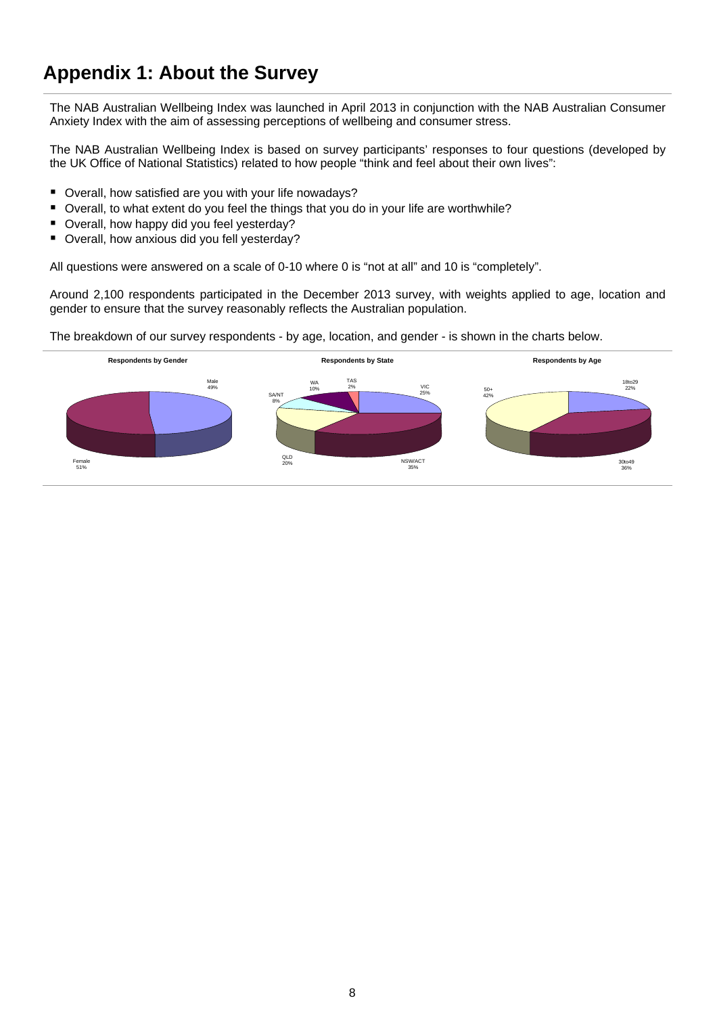# **Appendix 1: About the Survey**

The NAB Australian Wellbeing Index was launched in April 2013 in conjunction with the NAB Australian Consumer Anxiety Index with the aim of assessing perceptions of wellbeing and consumer stress.

The NAB Australian Wellbeing Index is based on survey participants' responses to four questions (developed by the UK Office of National Statistics) related to how people "think and feel about their own lives":

- Overall, how satisfied are you with your life nowadays?
- Overall, to what extent do you feel the things that you do in your life are worthwhile?
- Overall, how happy did you feel yesterday?
- Overall, how anxious did you fell yesterday?

All questions were answered on a scale of 0-10 where 0 is "not at all" and 10 is "completely".

Around 2,100 respondents participated in the December 2013 survey, with weights applied to age, location and gender to ensure that the survey reasonably reflects the Australian population.

The breakdown of our survey respondents - by age, location, and gender - is shown in the charts below.

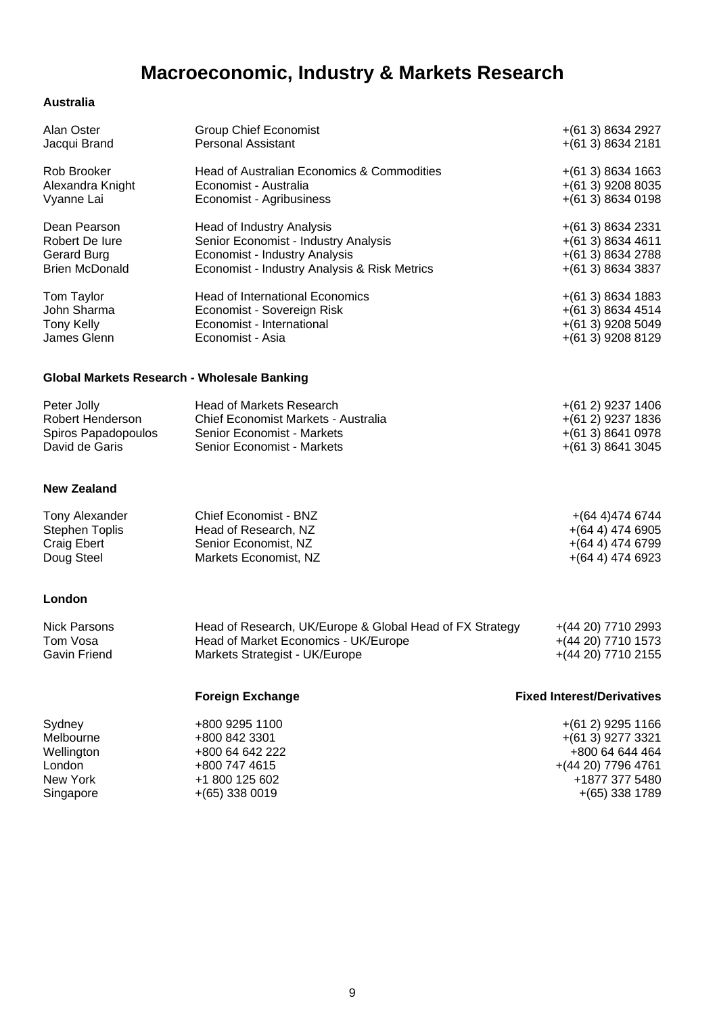# **Macroeconomic, Industry & Markets Research**

### **Australia**

| Alan Oster                                  | <b>Group Chief Economist</b>                             | $+(613) 8634 2927$                |
|---------------------------------------------|----------------------------------------------------------|-----------------------------------|
| Jacqui Brand                                | <b>Personal Assistant</b>                                | $+(613) 8634 2181$                |
| Rob Brooker                                 | Head of Australian Economics & Commodities               | $+(613) 8634 1663$                |
| Alexandra Knight                            | Economist - Australia                                    | $+(613)$ 9208 8035                |
| Vyanne Lai                                  | Economist - Agribusiness                                 | $+(613) 8634 0198$                |
| Dean Pearson                                | Head of Industry Analysis                                | $+(613) 8634 2331$                |
| Robert De Iure                              | Senior Economist - Industry Analysis                     | $+(613) 8634 4611$                |
| Gerard Burg                                 | Economist - Industry Analysis                            | $+(613) 8634 2788$                |
| <b>Brien McDonald</b>                       | Economist - Industry Analysis & Risk Metrics             | $+(613) 8634 3837$                |
| Tom Taylor                                  | <b>Head of International Economics</b>                   | $+(613) 8634 1883$                |
| John Sharma                                 | Economist - Sovereign Risk                               | $+(613) 8634 4514$                |
| <b>Tony Kelly</b>                           | Economist - International                                | $+(613)$ 9208 5049                |
| James Glenn                                 | Economist - Asia                                         | $+(613)$ 9208 8129                |
| Global Markets Research - Wholesale Banking |                                                          |                                   |
| Peter Jolly                                 | <b>Head of Markets Research</b>                          | $+(61 2)$ 9237 1406               |
| <b>Robert Henderson</b>                     | Chief Economist Markets - Australia                      | $+(612)$ 9237 1836                |
| Spiros Papadopoulos                         | Senior Economist - Markets                               | $+(613) 8641 0978$                |
| David de Garis                              | Senior Economist - Markets                               | $+(613) 8641 3045$                |
| <b>New Zealand</b>                          |                                                          |                                   |
| Tony Alexander                              | Chief Economist - BNZ                                    | $+(644)4746744$                   |
| <b>Stephen Toplis</b>                       | Head of Research, NZ                                     | $+(644)$ 474 6905                 |
| <b>Craig Ebert</b>                          | Senior Economist, NZ                                     | $+(644)$ 474 6799                 |
| Doug Steel                                  | Markets Economist, NZ                                    | $+(644)$ 474 6923                 |
| London                                      |                                                          |                                   |
| <b>Nick Parsons</b>                         | Head of Research, UK/Europe & Global Head of FX Strategy | $+(4420)$ 7710 2993               |
| Tom Vosa                                    | Head of Market Economics - UK/Europe                     | $+(4420)$ 7710 1573               |
| Gavin Friend                                | Markets Strategist - UK/Europe                           | +(44 20) 7710 2155                |
|                                             | <b>Foreign Exchange</b>                                  | <b>Fixed Interest/Derivatives</b> |
| Sydney                                      | +800 9295 1100                                           | $+(612)$ 9295 1166                |
| Melbourne                                   | +800 842 3301                                            | $+(613)$ 9277 3321                |
| Wellington                                  | +800 64 642 222                                          | +800 64 644 464                   |

London +800 747 4615 + +800 747 4615<br>
New York +1 800 125 602 New York +1 800 125 602 +1877 377 5480  $+(65)$  338 1789